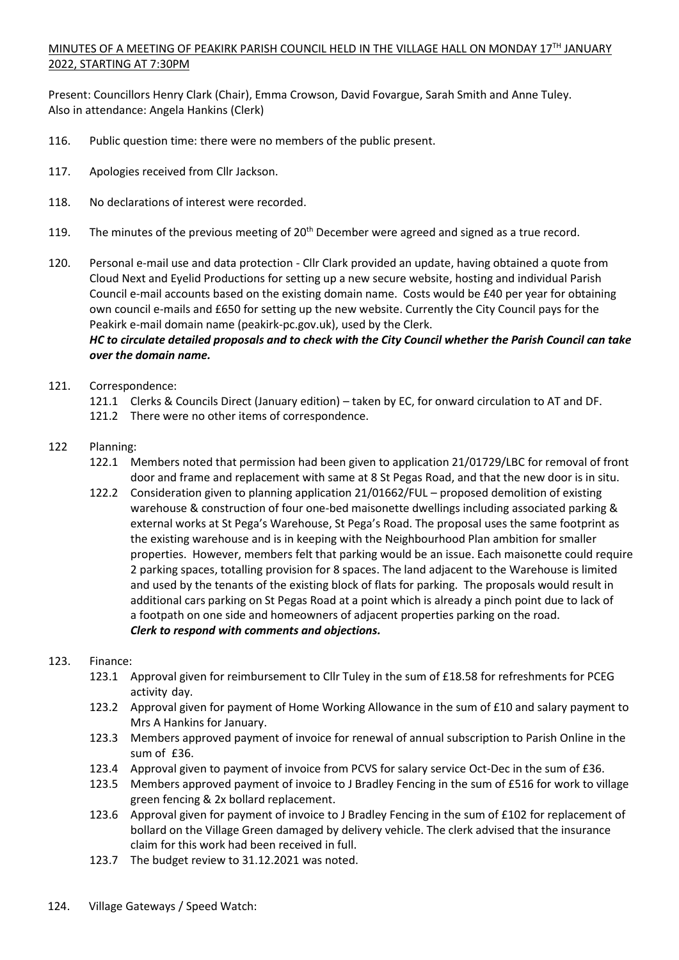## MINUTES OF A MEETING OF PEAKIRK PARISH COUNCIL HELD IN THE VILLAGE HALL ON MONDAY 17TH JANUARY 2022, STARTING AT 7:30PM

Present: Councillors Henry Clark (Chair), Emma Crowson, David Fovargue, Sarah Smith and Anne Tuley. Also in attendance: Angela Hankins (Clerk)

- 116. Public question time: there were no members of the public present.
- 117. Apologies received from Cllr Jackson.
- 118. No declarations of interest were recorded.
- 119. The minutes of the previous meeting of  $20<sup>th</sup>$  December were agreed and signed as a true record.
- 120. Personal e-mail use and data protection Cllr Clark provided an update, having obtained a quote from Cloud Next and Eyelid Productions for setting up a new secure website, hosting and individual Parish Council e-mail accounts based on the existing domain name. Costs would be £40 per year for obtaining own council e-mails and £650 for setting up the new website. Currently the City Council pays for the Peakirk e-mail domain name (peakirk-pc.gov.uk), used by the Clerk.

## *HC to circulate detailed proposals and to check with the City Council whether the Parish Council can take over the domain name.*

- 121. Correspondence:
	- 121.1 Clerks & Councils Direct (January edition) taken by EC, for onward circulation to AT and DF.
	- 121.2 There were no other items of correspondence.
- 122 Planning:
	- 122.1 Members noted that permission had been given to application 21/01729/LBC for removal of front door and frame and replacement with same at 8 St Pegas Road, and that the new door is in situ.
	- 122.2 Consideration given to planning application 21/01662/FUL proposed demolition of existing warehouse & construction of four one-bed maisonette dwellings including associated parking & external works at St Pega's Warehouse, St Pega's Road. The proposal uses the same footprint as the existing warehouse and is in keeping with the Neighbourhood Plan ambition for smaller properties. However, members felt that parking would be an issue. Each maisonette could require 2 parking spaces, totalling provision for 8 spaces. The land adjacent to the Warehouse is limited and used by the tenants of the existing block of flats for parking. The proposals would result in additional cars parking on St Pegas Road at a point which is already a pinch point due to lack of a footpath on one side and homeowners of adjacent properties parking on the road. *Clerk to respond with comments and objections.*

## 123. Finance:

- 123.1 Approval given for reimbursement to Cllr Tuley in the sum of £18.58 for refreshments for PCEG activity day.
- 123.2 Approval given for payment of Home Working Allowance in the sum of £10 and salary payment to Mrs A Hankins for January.
- 123.3 Members approved payment of invoice for renewal of annual subscription to Parish Online in the sum of £36.
- 123.4 Approval given to payment of invoice from PCVS for salary service Oct-Dec in the sum of £36.
- 123.5 Members approved payment of invoice to J Bradley Fencing in the sum of £516 for work to village green fencing & 2x bollard replacement.
- 123.6 Approval given for payment of invoice to J Bradley Fencing in the sum of £102 for replacement of bollard on the Village Green damaged by delivery vehicle. The clerk advised that the insurance claim for this work had been received in full.
- 123.7 The budget review to 31.12.2021 was noted.